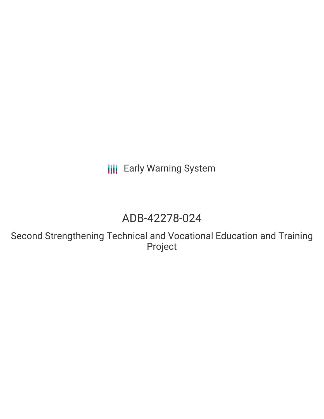**III** Early Warning System

## ADB-42278-024

Second Strengthening Technical and Vocational Education and Training Project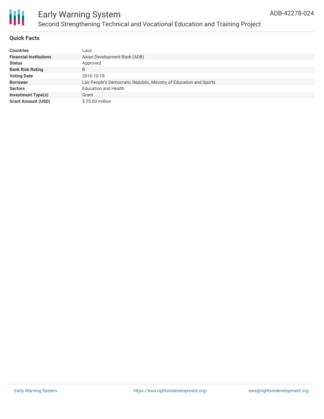

# Ш

## Early Warning System Second Strengthening Technical and Vocational Education and Training Project

### **Quick Facts**

| <b>Countries</b>              | Laos                                                               |
|-------------------------------|--------------------------------------------------------------------|
| <b>Financial Institutions</b> | Asian Development Bank (ADB)                                       |
| <b>Status</b>                 | Approved                                                           |
| <b>Bank Risk Rating</b>       | B                                                                  |
| <b>Voting Date</b>            | 2016-10-18                                                         |
| <b>Borrower</b>               | Lao People's Democratic Republic, Ministry of Education and Sports |
| <b>Sectors</b>                | <b>Education and Health</b>                                        |
| <b>Investment Type(s)</b>     | Grant                                                              |
| <b>Grant Amount (USD)</b>     | $$25.00$ million                                                   |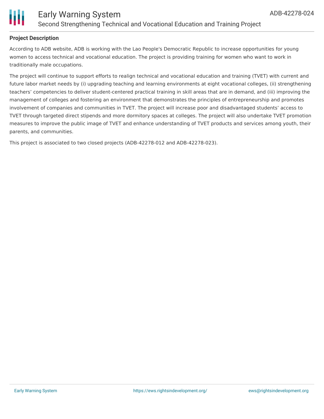

#### **Project Description**

According to ADB website, ADB is working with the Lao People's Democratic Republic to increase opportunities for young women to access technical and vocational education. The project is providing training for women who want to work in traditionally male occupations.

The project will continue to support efforts to realign technical and vocational education and training (TVET) with current and future labor market needs by (i) upgrading teaching and learning environments at eight vocational colleges, (ii) strengthening teachers' competencies to deliver student-centered practical training in skill areas that are in demand, and (iii) improving the management of colleges and fostering an environment that demonstrates the principles of entrepreneurship and promotes involvement of companies and communities in TVET. The project will increase poor and disadvantaged students' access to TVET through targeted direct stipends and more dormitory spaces at colleges. The project will also undertake TVET promotion measures to improve the public image of TVET and enhance understanding of TVET products and services among youth, their parents, and communities.

This project is associated to two closed projects (ADB-42278-012 and ADB-42278-023).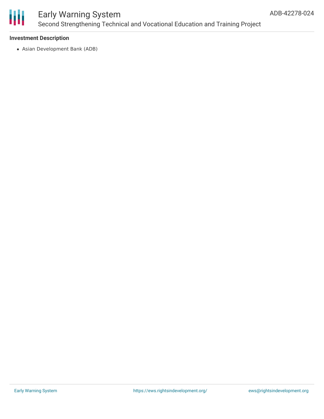

## Early Warning System Second Strengthening Technical and Vocational Education and Training Project

#### **Investment Description**

Asian Development Bank (ADB)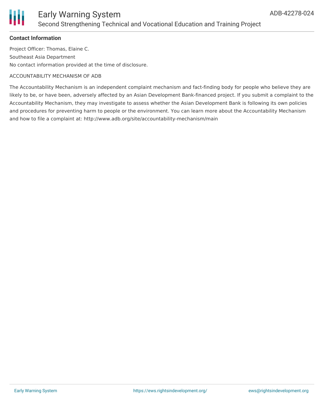

## Early Warning System Second Strengthening Technical and Vocational Education and Training Project

#### **Contact Information**

Project Officer: Thomas, Elaine C. Southeast Asia Department No contact information provided at the time of disclosure.

#### ACCOUNTABILITY MECHANISM OF ADB

The Accountability Mechanism is an independent complaint mechanism and fact-finding body for people who believe they are likely to be, or have been, adversely affected by an Asian Development Bank-financed project. If you submit a complaint to the Accountability Mechanism, they may investigate to assess whether the Asian Development Bank is following its own policies and procedures for preventing harm to people or the environment. You can learn more about the Accountability Mechanism and how to file a complaint at: http://www.adb.org/site/accountability-mechanism/main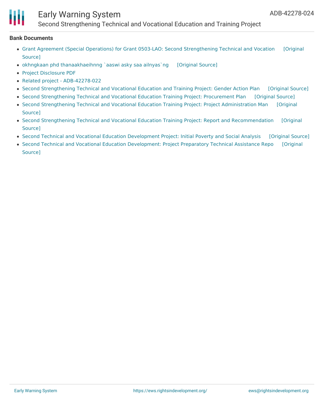## Early Warning System

Second Strengthening Technical and Vocational Education and Training Project

#### **Bank Documents**

- Grant Agreement (Special Operations) for Grant 0503-LAO: Second [Strengthening](https://ewsdata.rightsindevelopment.org/files/documents/24/ADB-42278-024.pdf) Technical and Vocation [Original Source]
- okhngkaan phd [thanaakhaeihnng](https://ewsdata.rightsindevelopment.org/files/documents/24/ADB-42278-024_EeHMmc1.pdf) `aaswi asky saa ailnyas`ng [\[Original](https://www.adb.org/lo/projects/documents/42278-024-project-data-sheet) Source]
- Project [Disclosure](https://www.adb.org/printpdf/projects/42278-024/main) PDF
- Related project [ADB-42278-022](https://www.adb.org/projects/42278-022/main)
- Second [Strengthening](https://ewsdata.rightsindevelopment.org/files/documents/24/ADB-42278-024_AYZ4E61.pdf) Technical and Vocational Education and Training Project: Gender Action Plan [\[Original](https://www.adb.org/projects/documents/lao-second-stvetp-gap) Source]
- Second [Strengthening](https://ewsdata.rightsindevelopment.org/files/documents/24/ADB-42278-024_G9djwoE.pdf) Technical and Vocational Education Training Project: Procurement Plan [\[Original](https://www.adb.org/projects/documents/lao-second-stvetp-pp) Source]
- Second Strengthening Technical and Vocational Education Training Project: Project [Administration](https://www.adb.org/projects/documents/lao-second-stvetp-pam) Man [Original Source]
- Second Strengthening Technical and Vocational Education Training Project: Report and [Recommendation](https://www.adb.org/projects/documents/lao-second-stvetp-rrp) [Original Source]
- Second Technical and Vocational Education [Development](https://ewsdata.rightsindevelopment.org/files/documents/24/ADB-42278-024_tzbLcdh.pdf) Project: Initial Poverty and Social Analysis [\[Original](https://www.adb.org/projects/documents/lao-second-technical-and-vocational-education-development-ipsa) Source]
- Second Technical and Vocational Education [Development:](https://ewsdata.rightsindevelopment.org/files/documents/24/ADB-42278-024_dm5DaOD.pdf) Project Preparatory Technical Assistance Repo [Original Source]